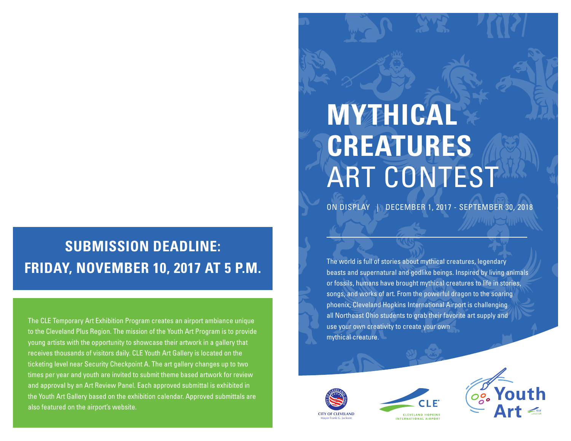## **SUBMISSION DEADLINE: FRIDAY, NOVEMBER 10, 2017 AT 5 P.M.**

The CLE Temporary Art Exhibition Program creates an airport ambiance unique to the Cleveland Plus Region. The mission of the Youth Art Program is to provide young artists with the opportunity to showcase their artwork in a gallery that receives thousands of visitors daily. CLE Youth Art Gallery is located on the ticketing level near Security Checkpoint A. The art gallery changes up to two times per year and youth are invited to submit theme based artwork for review and approval by an Art Review Panel. Each approved submittal is exhibited in the Youth Art Gallery based on the exhibition calendar. Approved submittals are also featured on the airport's website.

# **MYTHICAL CREATURES** ART CONTEST

ON DISPLAY | DECEMBER 1, 2017 - SEPTEMBER 30, 2018

The world is full of stories about mythical creatures, legendary beasts and supernatural and godlike beings. Inspired by living animals or fossils, humans have brought mythical creatures to life in stories, songs, and works of art. From the powerful dragon to the soaring phoenix, Cleveland Hopkins International Airport is challenging all Northeast Ohio students to grab their favorite art supply and use your own creativity to create your own mythical creature.





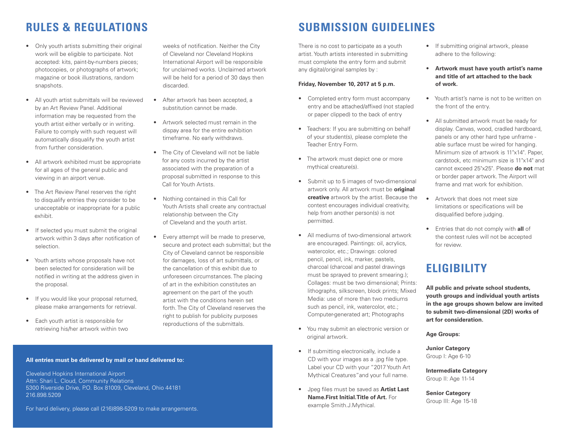- Only youth artists submitting their original work will be eligible to participate. Not accepted: kits, paint-by-numbers pieces; photocopies, or photographs of artwork; magazine or book illustrations, random snapshots.
- All youth artist submittals will be reviewed by an Art Review Panel. Additional information may be requested from the youth artist either verbally or in writing. Failure to comply with such request will automatically disqualify the youth artist from further consideration.
- All artwork exhibited must be appropriate for all ages of the general public and viewing in an airport venue.
- The Art Review Panel reserves the right to disqualify entries they consider to be unacceptable or inappropriate for a public exhibit.
- If selected you must submit the original artwork within 3 days after notification of selection.
- Youth artists whose proposals have not been selected for consideration will be notified in writing at the address given in the proposal.
- If you would like your proposal returned, please make arrangements for retrieval.
- Each youth artist is responsible for retrieving his/her artwork within two

weeks of notification. Neither the City of Cleveland nor Cleveland Hopkins International Airport will be responsible for unclaimed works. Unclaimed artwork will be held for a period of 30 days then discarded.

- After artwork has been accepted, a substitution cannot be made.
- Artwork selected must remain in the dispay area for the entire exhibition timeframe. No early withdraws.
- The City of Cleveland will not be liable for any costs incurred by the artist associated with the preparation of a proposal submitted in response to this Call for Youth Artists.
- Nothing contained in this Call for Youth Artists shall create any contractual relationship between the City of Cleveland and the youth artist.
- Every attempt will be made to preserve, secure and protect each submittal; but the City of Cleveland cannot be responsible for damages, loss of art submittals, or the cancellation of this exhibit due to unforeseen circumstances. The placing of art in the exhibition constitutes an agreement on the part of the youth artist with the conditions herein set forth. The City of Cleveland reserves the right to publish for publicity purposes reproductions of the submittals.

## **RULES & REGULATIONS SUBMISSION GUIDELINES**

There is no cost to participate as a youth artist. Youth artists interested in submitting must complete the entry form and submit any digital/original samples by :

#### **Friday, November 10, 2017 at 5 p.m.**

- Completed entry form must accompany entry and be attached/affixed (not stapled or paper clipped) to the back of entry
- Teachers: If you are submitting on behalf of your student(s), please complete the Teacher Entry Form.
- The artwork must depict one or more mythical creature(s).
- Submit up to 5 images of two-dimensional artwork only. All artwork must be **original creative** artwork by the artist. Because the contest encourages individual creativity, help from another person(s) is not permitted.
- All mediums of two-dimensional artwork are encouraged. Paintings: oil, acrylics, watercolor, etc.; Drawings: colored pencil, pencil, ink, marker, pastels, charcoal (charcoal and pastel drawings must be sprayed to prevent smearing.); Collages: must be two dimensional; Prints: lithographs, silkscreen, block prints; Mixed Media: use of more than two mediums such as pencil, ink, watercolor, etc.; Computer-generated art; Photographs
- You may submit an electronic version or original artwork.
- If submitting electronically, include a CD with your images as a .jpg file type. Label your CD with your "2017 Youth Art Mythical Creatures"and your full name.
- Jpeg files must be saved as **Artist Last Name.First Initial.Title of Art.** For example Smith.J.Mythical.
- If submitting original artwork, please adhere to the following:
- **Artwork must have youth artist's name and title of art attached to the back of work.**
- Youth artist's name is not to be written on the front of the entry.
- All submitted artwork must be ready for display. Canvas, wood, cradled hardboard, panels or any other hard type unframe able surface must be wired for hanging. Minimum size of artwork is 11"x14". Paper, cardstock, etc minimum size is 11"x14" and cannot exceed 25"x25". Please **do not** mat or border paper artwork. The Airport will frame and mat work for exhibition.
- Artwork that does not meet size limitations or specifications will be disqualified before judging.
- Entries that do not comply with **all** of the contest rules will not be accepted for review.

### **ELIGIBILITY**

**All public and private school students, youth groups and individual youth artists in the age groups shown below are invited to submit two-dimensional (2D) works of art for consideration.**

**Age Groups:**

**Junior Category** Group I: Age 6-10

**Intermediate Category** Group II: Age 11-14

**Senior Category** Group III: Age 15-18

### **All entries must be delivered by mail or hand delivered to:**

Cleveland Hopkins International Airport Attn: Shari L. Cloud, Community Relations 5300 Riverside Drive, P.O. Box 81009, Cleveland, Ohio 44181 216.898.5209

For hand delivery, please call (216)898-5209 to make arrangements.